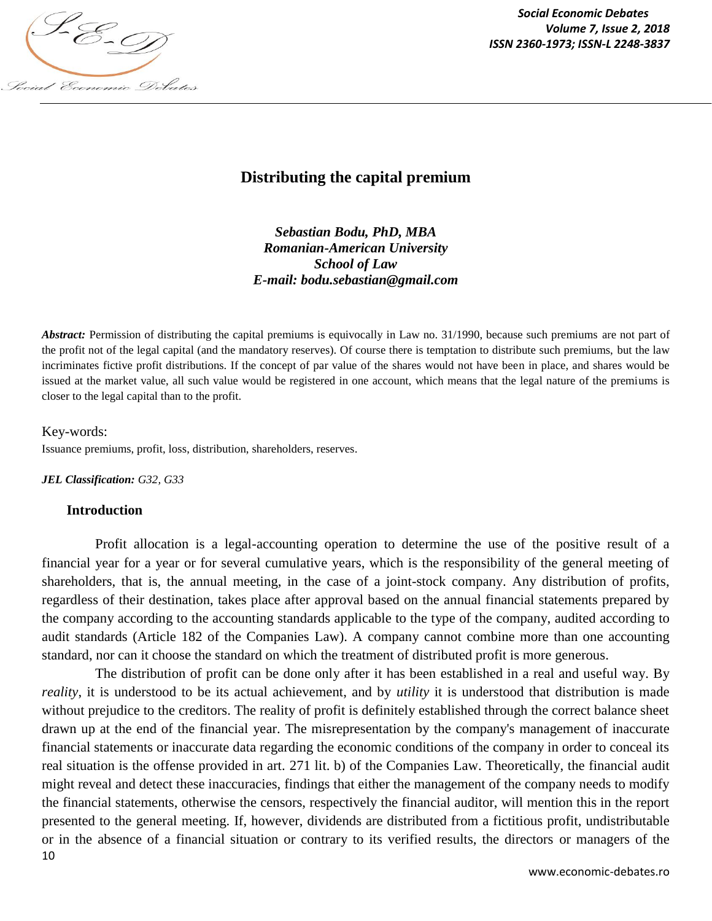

*Social Economic Debates Volume 7, Issue 2, 2018*

# **Distributing the capital premium**

*Sebastian Bodu, PhD, MBA Romanian-American University School of Law E-mail: bodu.sebastian@gmail.com*

*Abstract:* Permission of distributing the capital premiums is equivocally in Law no. 31/1990, because such premiums are not part of the profit not of the legal capital (and the mandatory reserves). Of course there is temptation to distribute such premiums, but the law incriminates fictive profit distributions. If the concept of par value of the shares would not have been in place, and shares would be issued at the market value, all such value would be registered in one account, which means that the legal nature of the premiums is closer to the legal capital than to the profit.

#### Key-words:

Issuance premiums, profit, loss, distribution, shareholders, reserves.

*JEL Classification: G32, G33*

### **Introduction**

Profit allocation is a legal-accounting operation to determine the use of the positive result of a financial year for a year or for several cumulative years, which is the responsibility of the general meeting of shareholders, that is, the annual meeting, in the case of a joint-stock company. Any distribution of profits, regardless of their destination, takes place after approval based on the annual financial statements prepared by the company according to the accounting standards applicable to the type of the company, audited according to audit standards (Article 182 of the Companies Law). A company cannot combine more than one accounting standard, nor can it choose the standard on which the treatment of distributed profit is more generous.

10 The distribution of profit can be done only after it has been established in a real and useful way. By *reality*, it is understood to be its actual achievement, and by *utility* it is understood that distribution is made without prejudice to the creditors. The reality of profit is definitely established through the correct balance sheet drawn up at the end of the financial year. The misrepresentation by the company's management of inaccurate financial statements or inaccurate data regarding the economic conditions of the company in order to conceal its real situation is the offense provided in art. 271 lit. b) of the Companies Law. Theoretically, the financial audit might reveal and detect these inaccuracies, findings that either the management of the company needs to modify the financial statements, otherwise the censors, respectively the financial auditor, will mention this in the report presented to the general meeting. If, however, dividends are distributed from a fictitious profit, undistributable or in the absence of a financial situation or contrary to its verified results, the directors or managers of the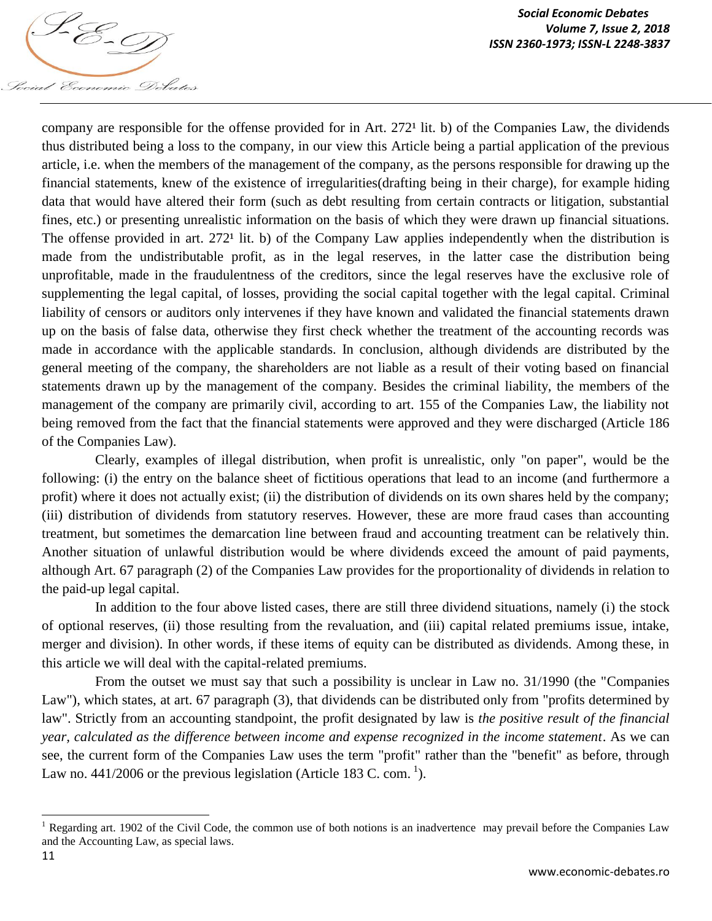

company are responsible for the offense provided for in Art. 272<sup>1</sup> lit. b) of the Companies Law, the dividends thus distributed being a loss to the company, in our view this Article being a partial application of the previous article, i.e. when the members of the management of the company, as the persons responsible for drawing up the financial statements, knew of the existence of irregularities(drafting being in their charge), for example hiding data that would have altered their form (such as debt resulting from certain contracts or litigation, substantial fines, etc.) or presenting unrealistic information on the basis of which they were drawn up financial situations. The offense provided in art.  $272<sup>1</sup>$  lit. b) of the Company Law applies independently when the distribution is made from the undistributable profit, as in the legal reserves, in the latter case the distribution being unprofitable, made in the fraudulentness of the creditors, since the legal reserves have the exclusive role of supplementing the legal capital, of losses, providing the social capital together with the legal capital. Criminal liability of censors or auditors only intervenes if they have known and validated the financial statements drawn up on the basis of false data, otherwise they first check whether the treatment of the accounting records was made in accordance with the applicable standards. In conclusion, although dividends are distributed by the general meeting of the company, the shareholders are not liable as a result of their voting based on financial statements drawn up by the management of the company. Besides the criminal liability, the members of the management of the company are primarily civil, according to art. 155 of the Companies Law, the liability not being removed from the fact that the financial statements were approved and they were discharged (Article 186 of the Companies Law).

Clearly, examples of illegal distribution, when profit is unrealistic, only "on paper", would be the following: (i) the entry on the balance sheet of fictitious operations that lead to an income (and furthermore a profit) where it does not actually exist; (ii) the distribution of dividends on its own shares held by the company; (iii) distribution of dividends from statutory reserves. However, these are more fraud cases than accounting treatment, but sometimes the demarcation line between fraud and accounting treatment can be relatively thin. Another situation of unlawful distribution would be where dividends exceed the amount of paid payments, although Art. 67 paragraph (2) of the Companies Law provides for the proportionality of dividends in relation to the paid-up legal capital.

In addition to the four above listed cases, there are still three dividend situations, namely (i) the stock of optional reserves, (ii) those resulting from the revaluation, and (iii) capital related premiums issue, intake, merger and division). In other words, if these items of equity can be distributed as dividends. Among these, in this article we will deal with the capital-related premiums.

From the outset we must say that such a possibility is unclear in Law no. 31/1990 (the "Companies Law"), which states, at art. 67 paragraph (3), that dividends can be distributed only from "profits determined by law". Strictly from an accounting standpoint, the profit designated by law is *the positive result of the financial year, calculated as the difference between income and expense recognized in the income statement*. As we can see, the current form of the Companies Law uses the term "profit" rather than the "benefit" as before, through Law no. 441/2006 or the previous legislation (Article 183 C. com.<sup>1</sup>).

 $\overline{\phantom{a}}$ 

<sup>&</sup>lt;sup>1</sup> Regarding art. 1902 of the Civil Code, the common use of both notions is an inadvertence may prevail before the Companies Law and the Accounting Law, as special laws.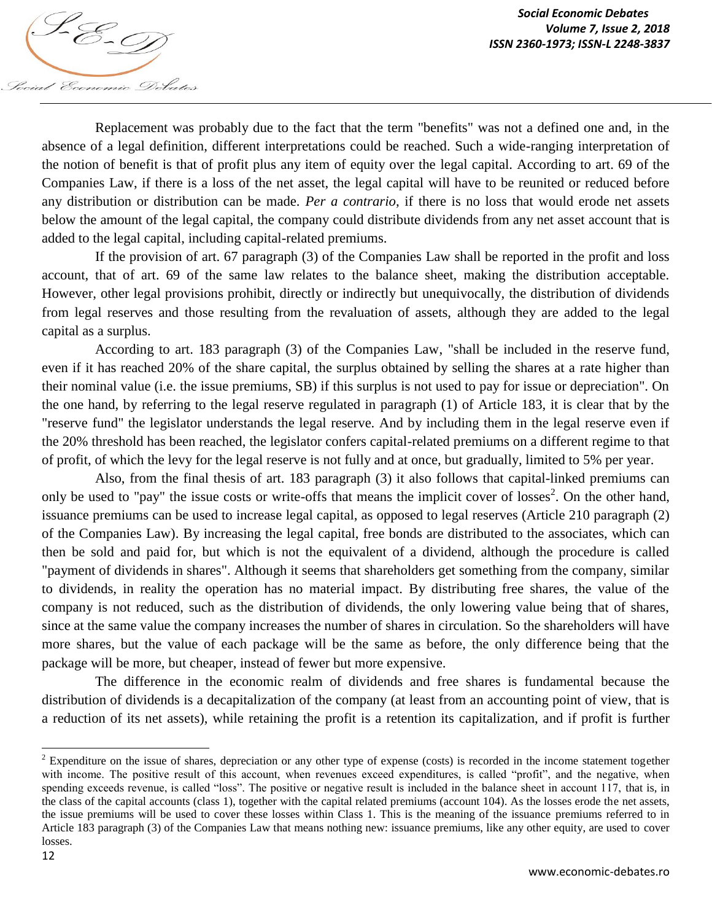Replacement was probably due to the fact that the term "benefits" was not a defined one and, in the absence of a legal definition, different interpretations could be reached. Such a wide-ranging interpretation of the notion of benefit is that of profit plus any item of equity over the legal capital. According to art. 69 of the Companies Law, if there is a loss of the net asset, the legal capital will have to be reunited or reduced before any distribution or distribution can be made. *Per a contrario*, if there is no loss that would erode net assets below the amount of the legal capital, the company could distribute dividends from any net asset account that is added to the legal capital, including capital-related premiums.

If the provision of art. 67 paragraph (3) of the Companies Law shall be reported in the profit and loss account, that of art. 69 of the same law relates to the balance sheet, making the distribution acceptable. However, other legal provisions prohibit, directly or indirectly but unequivocally, the distribution of dividends from legal reserves and those resulting from the revaluation of assets, although they are added to the legal capital as a surplus.

According to art. 183 paragraph (3) of the Companies Law, "shall be included in the reserve fund, even if it has reached 20% of the share capital, the surplus obtained by selling the shares at a rate higher than their nominal value (i.e. the issue premiums, SB) if this surplus is not used to pay for issue or depreciation". On the one hand, by referring to the legal reserve regulated in paragraph (1) of Article 183, it is clear that by the "reserve fund" the legislator understands the legal reserve. And by including them in the legal reserve even if the 20% threshold has been reached, the legislator confers capital-related premiums on a different regime to that of profit, of which the levy for the legal reserve is not fully and at once, but gradually, limited to 5% per year.

Also, from the final thesis of art. 183 paragraph (3) it also follows that capital-linked premiums can only be used to "pay" the issue costs or write-offs that means the implicit cover of losses<sup>2</sup>. On the other hand, issuance premiums can be used to increase legal capital, as opposed to legal reserves (Article 210 paragraph (2) of the Companies Law). By increasing the legal capital, free bonds are distributed to the associates, which can then be sold and paid for, but which is not the equivalent of a dividend, although the procedure is called "payment of dividends in shares". Although it seems that shareholders get something from the company, similar to dividends, in reality the operation has no material impact. By distributing free shares, the value of the company is not reduced, such as the distribution of dividends, the only lowering value being that of shares, since at the same value the company increases the number of shares in circulation. So the shareholders will have more shares, but the value of each package will be the same as before, the only difference being that the package will be more, but cheaper, instead of fewer but more expensive.

The difference in the economic realm of dividends and free shares is fundamental because the distribution of dividends is a decapitalization of the company (at least from an accounting point of view, that is a reduction of its net assets), while retaining the profit is a retention its capitalization, and if profit is further

 $\overline{a}$ 

<sup>&</sup>lt;sup>2</sup> Expenditure on the issue of shares, depreciation or any other type of expense (costs) is recorded in the income statement together with income. The positive result of this account, when revenues exceed expenditures, is called "profit", and the negative, when spending exceeds revenue, is called "loss". The positive or negative result is included in the balance sheet in account 117, that is, in the class of the capital accounts (class 1), together with the capital related premiums (account 104). As the losses erode the net assets, the issue premiums will be used to cover these losses within Class 1. This is the meaning of the issuance premiums referred to in Article 183 paragraph (3) of the Companies Law that means nothing new: issuance premiums, like any other equity, are used to cover losses.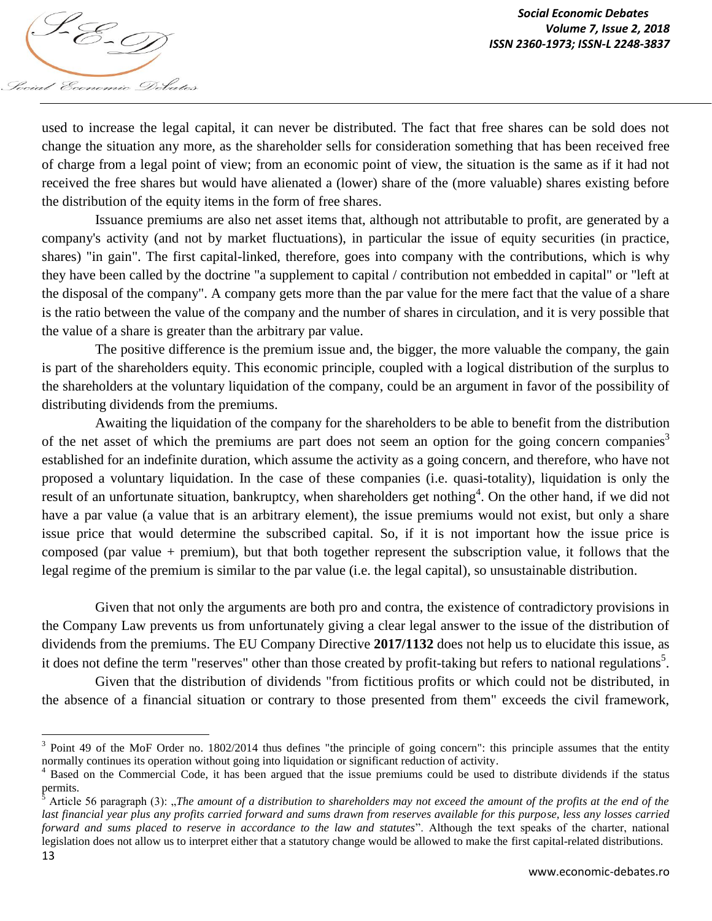

used to increase the legal capital, it can never be distributed. The fact that free shares can be sold does not change the situation any more, as the shareholder sells for consideration something that has been received free of charge from a legal point of view; from an economic point of view, the situation is the same as if it had not received the free shares but would have alienated a (lower) share of the (more valuable) shares existing before the distribution of the equity items in the form of free shares.

Issuance premiums are also net asset items that, although not attributable to profit, are generated by a company's activity (and not by market fluctuations), in particular the issue of equity securities (in practice, shares) "in gain". The first capital-linked, therefore, goes into company with the contributions, which is why they have been called by the doctrine "a supplement to capital / contribution not embedded in capital" or "left at the disposal of the company". A company gets more than the par value for the mere fact that the value of a share is the ratio between the value of the company and the number of shares in circulation, and it is very possible that the value of a share is greater than the arbitrary par value.

The positive difference is the premium issue and, the bigger, the more valuable the company, the gain is part of the shareholders equity. This economic principle, coupled with a logical distribution of the surplus to the shareholders at the voluntary liquidation of the company, could be an argument in favor of the possibility of distributing dividends from the premiums.

Awaiting the liquidation of the company for the shareholders to be able to benefit from the distribution of the net asset of which the premiums are part does not seem an option for the going concern companies<sup>3</sup> established for an indefinite duration, which assume the activity as a going concern, and therefore, who have not proposed a voluntary liquidation. In the case of these companies (i.e. quasi-totality), liquidation is only the result of an unfortunate situation, bankruptcy, when shareholders get nothing<sup>4</sup>. On the other hand, if we did not have a par value (a value that is an arbitrary element), the issue premiums would not exist, but only a share issue price that would determine the subscribed capital. So, if it is not important how the issue price is composed (par value + premium), but that both together represent the subscription value, it follows that the legal regime of the premium is similar to the par value (i.e. the legal capital), so unsustainable distribution.

Given that not only the arguments are both pro and contra, the existence of contradictory provisions in the Company Law prevents us from unfortunately giving a clear legal answer to the issue of the distribution of dividends from the premiums. The EU Company Directive **2017/1132** does not help us to elucidate this issue, as it does not define the term "reserves" other than those created by profit-taking but refers to national regulations<sup>5</sup>.

Given that the distribution of dividends "from fictitious profits or which could not be distributed, in the absence of a financial situation or contrary to those presented from them" exceeds the civil framework,

 $\overline{\phantom{a}}$ 

<sup>3</sup> Point 49 of the MoF Order no. 1802/2014 thus defines "the principle of going concern": this principle assumes that the entity normally continues its operation without going into liquidation or significant reduction of activity.

<sup>4</sup> Based on the Commercial Code, it has been argued that the issue premiums could be used to distribute dividends if the status permits.

Article 56 paragraph (3): *The amount of a distribution to shareholders may not exceed the amount of the profits at the end of the last financial year plus any profits carried forward and sums drawn from reserves available for this purpose, less any losses carried forward and sums placed to reserve in accordance to the law and statutes*". Although the text speaks of the charter, national legislation does not allow us to interpret either that a statutory change would be allowed to make the first capital-related distributions.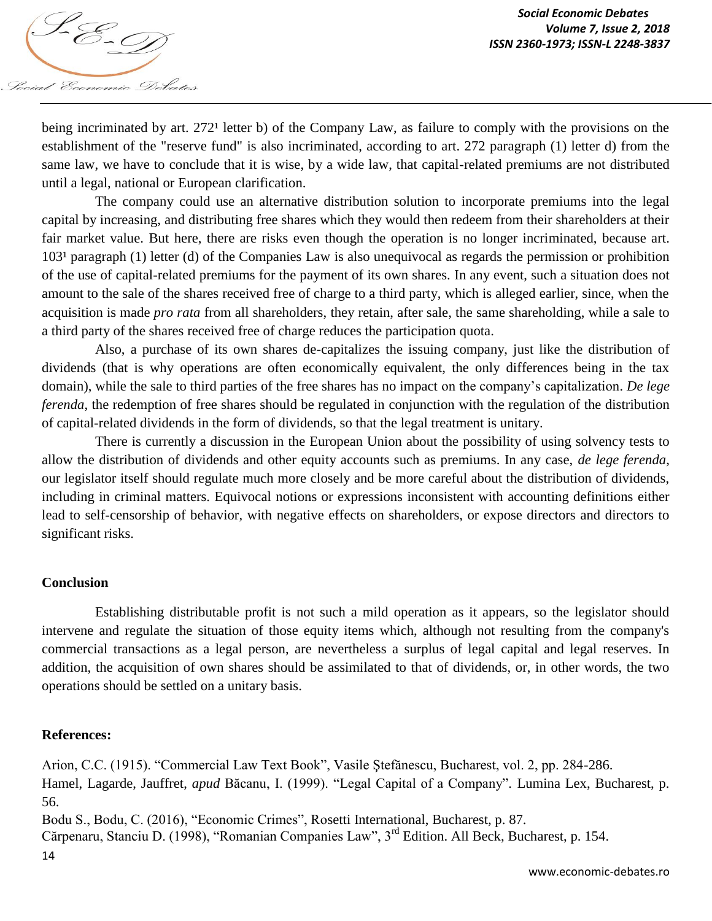being incriminated by art. 272<sup>1</sup> letter b) of the Company Law, as failure to comply with the provisions on the establishment of the "reserve fund" is also incriminated, according to art. 272 paragraph (1) letter d) from the same law, we have to conclude that it is wise, by a wide law, that capital-related premiums are not distributed until a legal, national or European clarification.

The company could use an alternative distribution solution to incorporate premiums into the legal capital by increasing, and distributing free shares which they would then redeem from their shareholders at their fair market value. But here, there are risks even though the operation is no longer incriminated, because art.  $103<sup>1</sup>$  paragraph (1) letter (d) of the Companies Law is also unequivocal as regards the permission or prohibition of the use of capital-related premiums for the payment of its own shares. In any event, such a situation does not amount to the sale of the shares received free of charge to a third party, which is alleged earlier, since, when the acquisition is made *pro rata* from all shareholders, they retain, after sale, the same shareholding, while a sale to a third party of the shares received free of charge reduces the participation quota.

Also, a purchase of its own shares de-capitalizes the issuing company, just like the distribution of dividends (that is why operations are often economically equivalent, the only differences being in the tax domain), while the sale to third parties of the free shares has no impact on the company"s capitalization. *De lege ferenda*, the redemption of free shares should be regulated in conjunction with the regulation of the distribution of capital-related dividends in the form of dividends, so that the legal treatment is unitary.

There is currently a discussion in the European Union about the possibility of using solvency tests to allow the distribution of dividends and other equity accounts such as premiums. In any case, *de lege ferenda*, our legislator itself should regulate much more closely and be more careful about the distribution of dividends, including in criminal matters. Equivocal notions or expressions inconsistent with accounting definitions either lead to self-censorship of behavior, with negative effects on shareholders, or expose directors and directors to significant risks.

## **Conclusion**

Establishing distributable profit is not such a mild operation as it appears, so the legislator should intervene and regulate the situation of those equity items which, although not resulting from the company's commercial transactions as a legal person, are nevertheless a surplus of legal capital and legal reserves. In addition, the acquisition of own shares should be assimilated to that of dividends, or, in other words, the two operations should be settled on a unitary basis.

## **References:**

Arion, C.C. (1915). "Commercial Law Text Book", Vasile Ştefănescu, Bucharest, vol. 2, pp. 284-286. Hamel, Lagarde, Jauffret, *apud* Băcanu, I. (1999). "Legal Capital of a Company"*.* Lumina Lex, Bucharest, p. 56.

Bodu S., Bodu, C. (2016), "Economic Crimes", Rosetti International, Bucharest, p. 87. Cărpenaru, Stanciu D. (1998), "Romanian Companies Law", 3rd Edition. All Beck, Bucharest, p. 154.

14